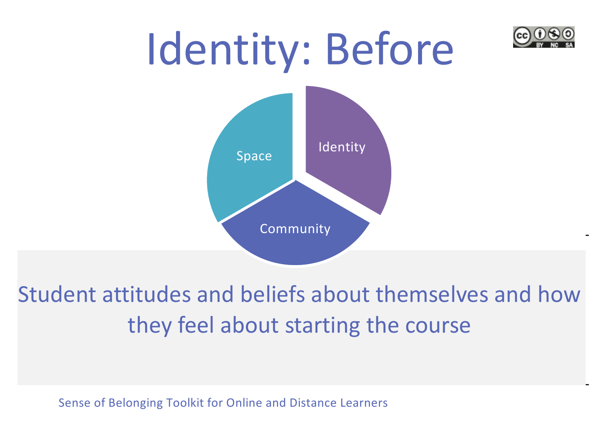



### Student attitudes and beliefs about themselves and how they feel about starting the course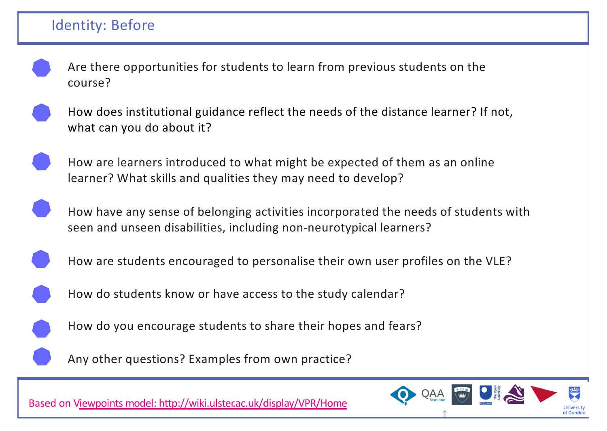#### Identity: Before

Are there opportunities for students to learn from previous students on the course?



How does institutional guidance reflect the needs of the distance learner? If not, what can you do about it?

How are learners introduced to what might be expected of them as an online learner? What skills and qualities they may need to develop?

How have any sense of belonging activities incorporated the needs of students with seen and unseen disabilities, including non-neurotypical learners?



How are students encouraged to personalise their own user profiles on the VLE?





How do you encourage students to share their hopes and fears?



Any other questions? Examples from own practice?

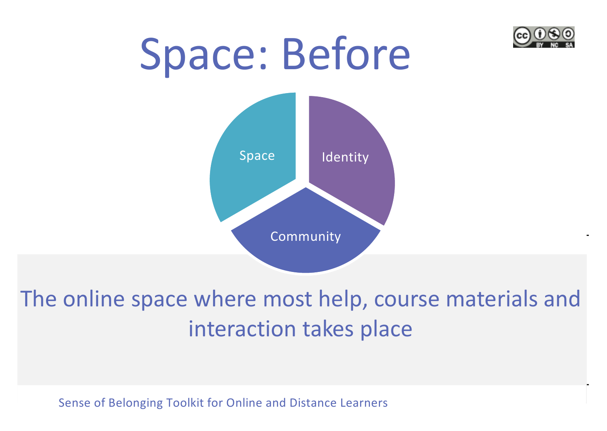

# Space: Before



### The online space where most help, course materials and interaction takes place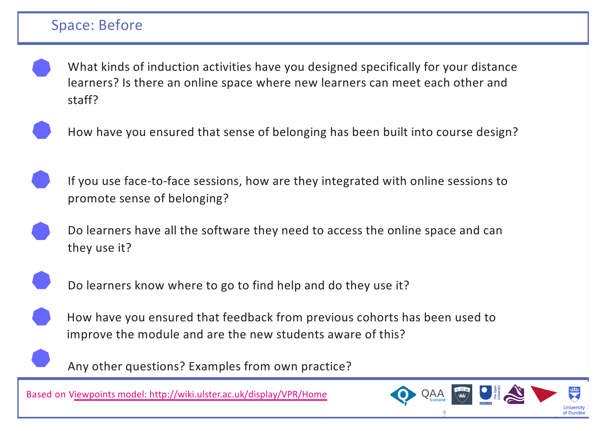#### Space: Before

What kinds of induction activities have you designed specifically for your distance learners? Is there an online space where new learners can meet each other and staff?



How have you ensured that sense of belonging has been built into course design?



If you use face-to-face sessions, how are they integrated with online sessions to promote sense of belonging?

Do learners have all the software they need to access the online space and can they use it?



Do learners know where to go to find help and do they use it?



Any other questions? Examples from own practice?

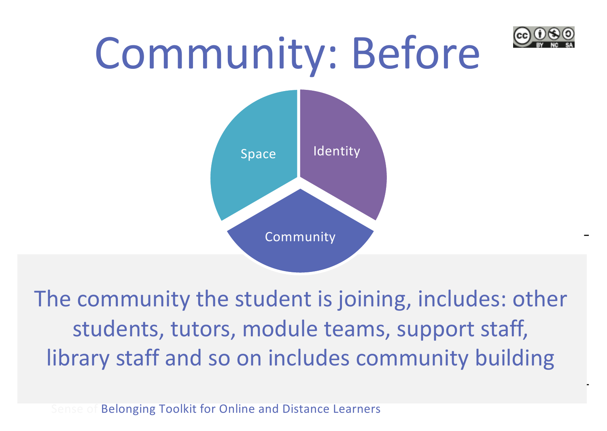

### Community: Before



The community the student is joining, includes: other students, tutors, module teams, support staff, library staff and so on includes community building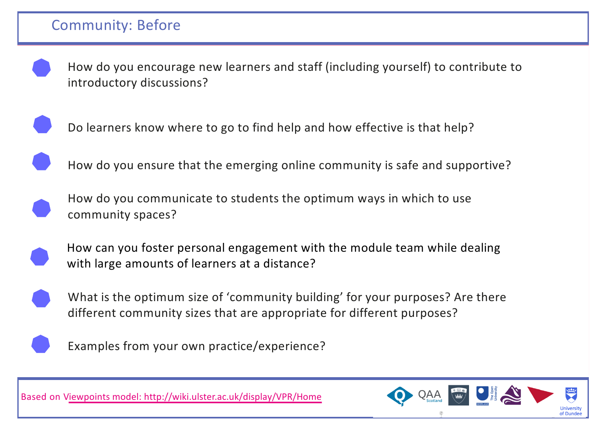How do you encourage new learners and staff (including yourself) to contribute to introductory discussions?



Do learners know where to go to find help and how effective is that help?

How do you ensure that the emerging online community is safe and supportive?

How do you communicate to students the optimum ways in which to use community spaces?



How can you foster personal engagement with the module team while dealing with large amounts of learners at a distance?



What is the optimum size of 'community building' for your purposes? Are there different community sizes that are appropriate for different purposes?



Examples from your own practice/experience?

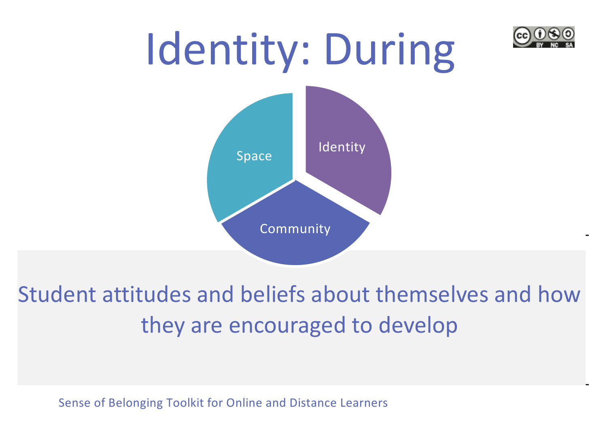

### Student attitudes and beliefs about themselves and how they are encouraged to develop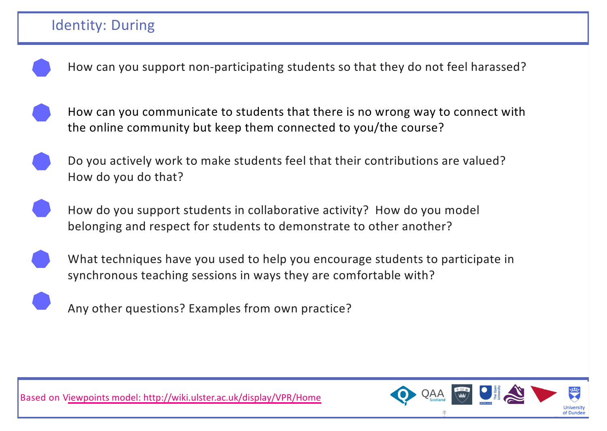



How can you communicate to students that there is no wrong way to connect with the online community but keep them connected to you/the course?

Do you actively work to make students feel that their contributions are valued? How do you do that?

How do you support students in collaborative activity? How do you model belonging and respect for students to demonstrate to other another?





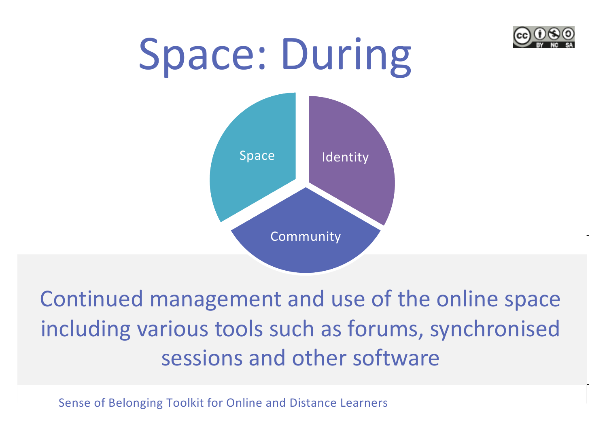

# Space: During Identity Community Space

Continued management and use of the online space including various tools such as forums, synchronised sessions and other software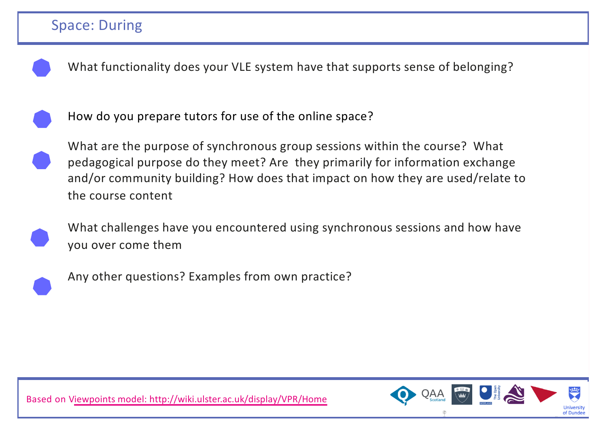

What functionality does your VLE system have that supports sense of belonging?



How do you prepare tutors for use of the online space?

What are the purpose of synchronous group sessions within the course? What pedagogical purpose do they meet? Are they primarily for information exchange and/or community building? How does that impact on how they are used/relate to the course content



What challenges have you encountered using synchronous sessions and how have you over come them



Any other questions? Examples from own practice?

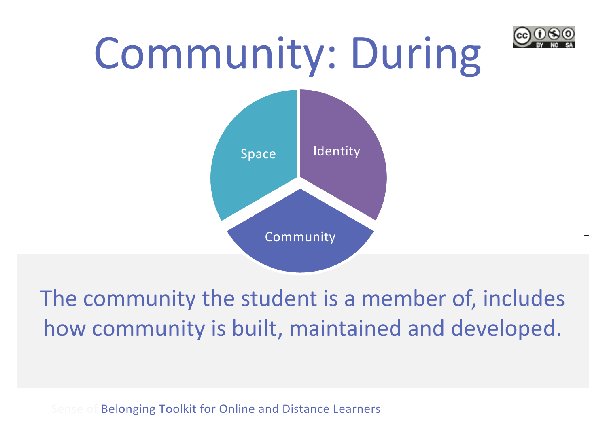

## Community: During



### The community the student is a member of, includes how community is built, maintained and developed.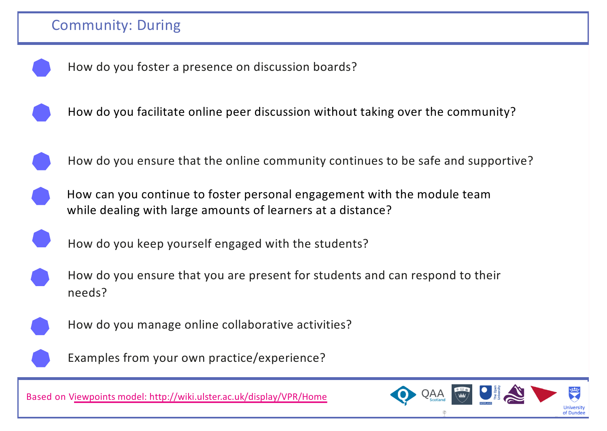



How do you ensure that the online community continues to be safe and supportive?

How can you continue to foster personal engagement with the module team while dealing with large amounts of learners at a distance?



How do you keep yourself engaged with the students?

How do you ensure that you are present for students and can respond to their needs?



How do you manage online collaborative activities?



Examples from your own practice/experience?

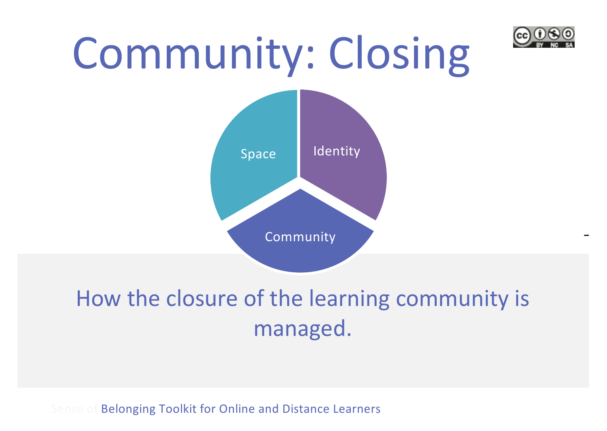

## Community: Closing



### How the closure of the learning community is managed.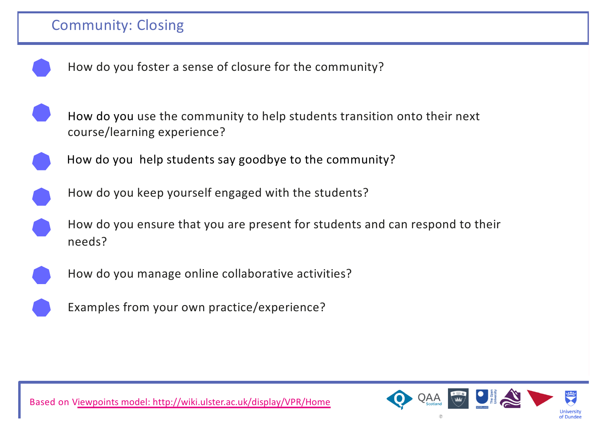- 
- How do you foster a sense of closure for the community?
- How do you use the community to help students transition onto their next course/learning experience?
- How do you help students say goodbye to the community?
- 
- How do you keep yourself engaged with the students?
- How do you ensure that you are present for students and can respond to their needs?
- 
- How do you manage online collaborative activities?



Examples from your own practice/experience?

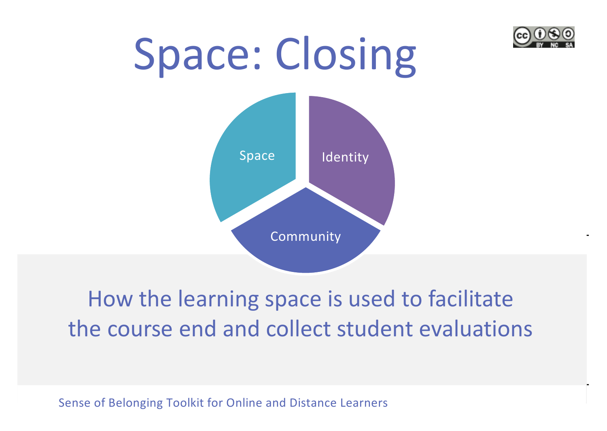

# Space: Closing Identity Community Space

### How the learning space is used to facilitate the course end and collect student evaluations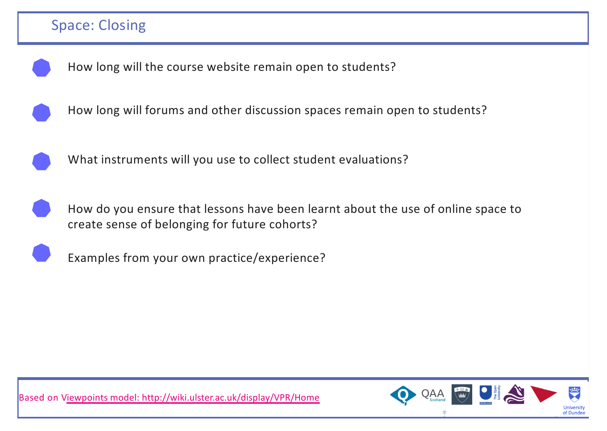#### Space: Closing





What instruments will you use to collect student evaluations?



How do you ensure that lessons have been learnt about the use of online space to create sense of belonging for future cohorts?



Examples from your own practice/experience?



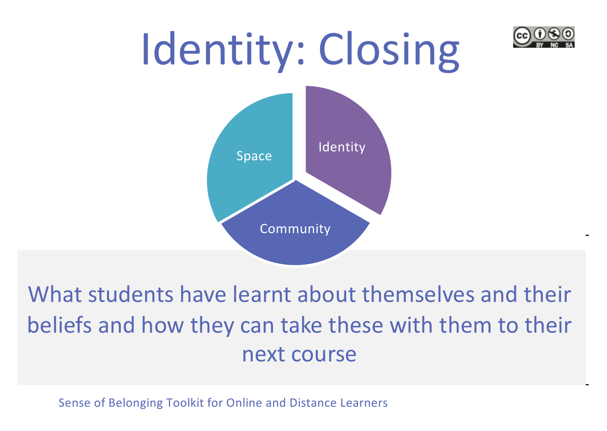



What students have learnt about themselves and their beliefs and how they can take these with them to their next course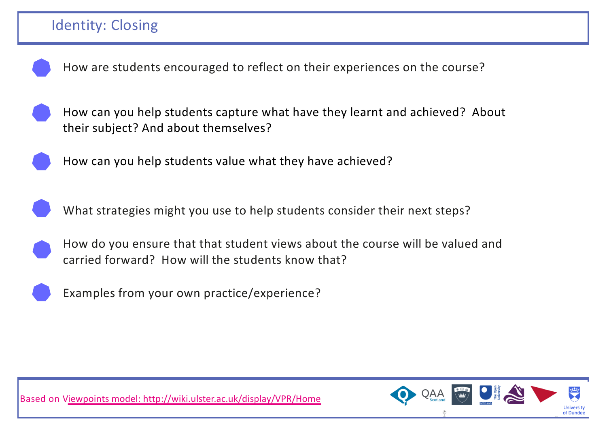

How are students encouraged to reflect on their experiences on the course?





How can you help students value what they have achieved?



What strategies might you use to help students consider their next steps?





Examples from your own practice/experience?



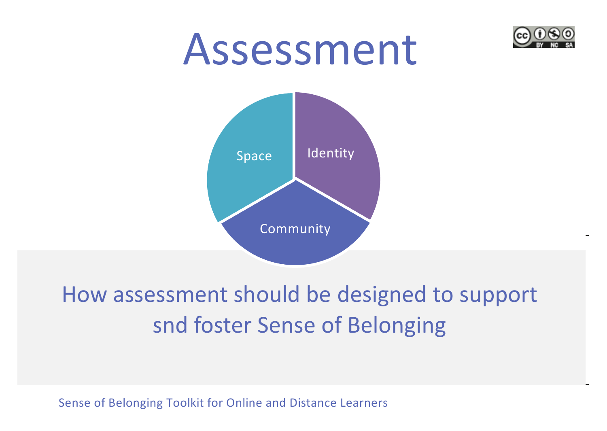

#### How assessment should be designed to support snd foster Sense of Belonging